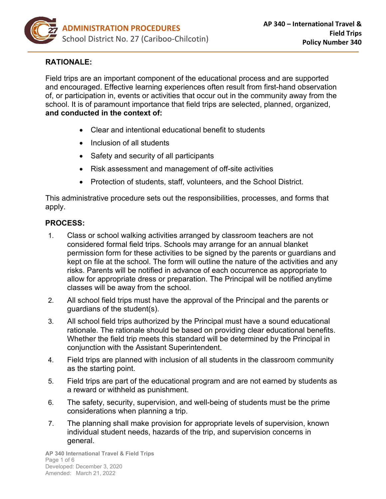

# **RATIONALE:**

Field trips are an important component of the educational process and are supported and encouraged. Effective learning experiences often result from first-hand observation of, or participation in, events or activities that occur out in the community away from the school. It is of paramount importance that field trips are selected, planned, organized, **and conducted in the context of:**

- Clear and intentional educational benefit to students
- Inclusion of all students
- Safety and security of all participants
- Risk assessment and management of off-site activities
- Protection of students, staff, volunteers, and the School District.

This administrative procedure sets out the responsibilities, processes, and forms that apply.

#### **PROCESS:**

- 1. Class or school walking activities arranged by classroom teachers are not considered formal field trips. Schools may arrange for an annual blanket permission form for these activities to be signed by the parents or guardians and kept on file at the school. The form will outline the nature of the activities and any risks. Parents will be notified in advance of each occurrence as appropriate to allow for appropriate dress or preparation. The Principal will be notified anytime classes will be away from the school.
- 2. All school field trips must have the approval of the Principal and the parents or guardians of the student(s).
- 3. All school field trips authorized by the Principal must have a sound educational rationale. The rationale should be based on providing clear educational benefits. Whether the field trip meets this standard will be determined by the Principal in conjunction with the Assistant Superintendent.
- 4. Field trips are planned with inclusion of all students in the classroom community as the starting point.
- 5. Field trips are part of the educational program and are not earned by students as a reward or withheld as punishment.
- 6. The safety, security, supervision, and well-being of students must be the prime considerations when planning a trip.
- 7. The planning shall make provision for appropriate levels of supervision, known individual student needs, hazards of the trip, and supervision concerns in general.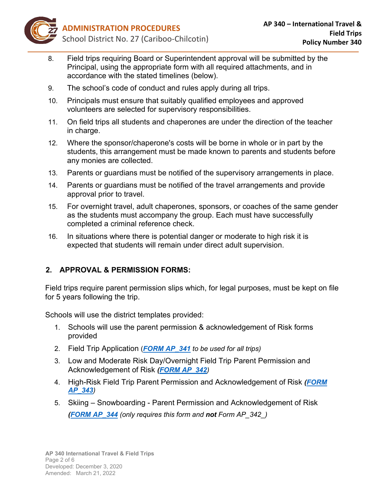

- 8. Field trips requiring Board or Superintendent approval will be submitted by the Principal, using the appropriate form with all required attachments, and in accordance with the stated timelines (below).
- 9. The school's code of conduct and rules apply during all trips.
- 10. Principals must ensure that suitably qualified employees and approved volunteers are selected for supervisory responsibilities.
- 11. On field trips all students and chaperones are under the direction of the teacher in charge.
- 12. Where the sponsor/chaperone's costs will be borne in whole or in part by the students, this arrangement must be made known to parents and students before any monies are collected.
- 13. Parents or guardians must be notified of the supervisory arrangements in place.
- 14. Parents or guardians must be notified of the travel arrangements and provide approval prior to travel.
- 15. For overnight travel, adult chaperones, sponsors, or coaches of the same gender as the students must accompany the group. Each must have successfully completed a criminal reference check.
- 16. In situations where there is potential danger or moderate to high risk it is expected that students will remain under direct adult supervision.

### **2. APPROVAL & PERMISSION FORMS:**

Field trips require parent permission slips which, for legal purposes, must be kept on file for 5 years following the trip.

Schools will use the district templates provided:

- 1. Schools will use the parent permission & acknowledgement of Risk forms provided
- 2. Field Trip Application (*[FORM AP\\_341](https://sd27storage.blob.core.windows.net/media/Default/medialib/apf_341_field-trip-application-form.9e57364503.pdf) to be used for all trips)*
- 3. Low and Moderate Risk Day/Overnight Field Trip Parent Permission and Acknowledgement of Risk *[\(FORM AP\\_342](https://sd27storage.blob.core.windows.net/media/Default/medialib/apf_342_low-moderate-risk-day-overnight-field-trip-parent-guardian-acknowledgement-of-risk.57385a2712.pdf))*
- 4. High-Risk Field Trip Parent Permission and Acknowledgement of Risk *[\(FORM](https://sd27storage.blob.core.windows.net/media/Default/medialib/apf_343_high-risk-field-trip-form.4caca52713.pdf)  [AP\\_343](https://sd27storage.blob.core.windows.net/media/Default/medialib/apf_343_high-risk-field-trip-form.4caca52713.pdf))*
- 5. Skiing Snowboarding Parent Permission and Acknowledgement of Risk *[\(FORM AP\\_344](https://sd27storage.blob.core.windows.net/media/Default/medialib/apf_344_skiing-snowboarding-parent-guardian-acknowledgement-of-risk-fillable.38067a4287.pdf) (only requires this form and not Form AP\_342\_)*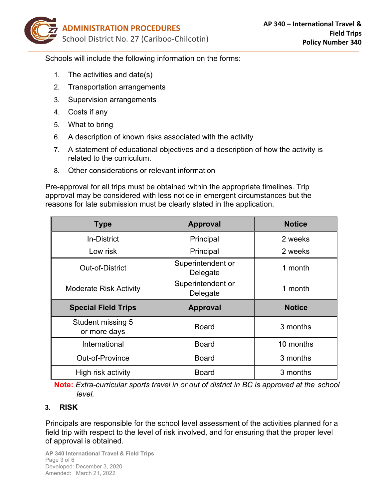

Schools will include the following information on the forms:

- 1. The activities and date(s)
- 2. Transportation arrangements
- 3. Supervision arrangements
- 4. Costs if any
- 5. What to bring
- 6. A description of known risks associated with the activity
- 7. A statement of educational objectives and a description of how the activity is related to the curriculum.
- 8. Other considerations or relevant information

Pre-approval for all trips must be obtained within the appropriate timelines. Trip approval may be considered with less notice in emergent circumstances but the reasons for late submission must be clearly stated in the application.

| <b>Type</b>                              | <b>Approval</b>               | <b>Notice</b> |
|------------------------------------------|-------------------------------|---------------|
| <b>In-District</b>                       | Principal                     | 2 weeks       |
| Low risk                                 | Principal                     | 2 weeks       |
| Out-of-District                          | Superintendent or<br>Delegate | 1 month       |
| <b>Moderate Risk Activity</b>            | Superintendent or<br>Delegate | 1 month       |
|                                          |                               |               |
| <b>Special Field Trips</b>               | <b>Approval</b>               | <b>Notice</b> |
| <b>Student missing 5</b><br>or more days | <b>Board</b>                  | 3 months      |
| International                            | <b>Board</b>                  | 10 months     |
| Out-of-Province                          | <b>Board</b>                  | 3 months      |

**Note:** *Extra-curricular sports travel in or out of district in BC is approved at the school level.*

#### **3. RISK**

Principals are responsible for the school level assessment of the activities planned for a field trip with respect to the level of risk involved, and for ensuring that the proper level of approval is obtained.

**AP 340 International Travel & Field Trips** Page 3 of 6 Developed: December 3, 2020 Amended: March 21, 2022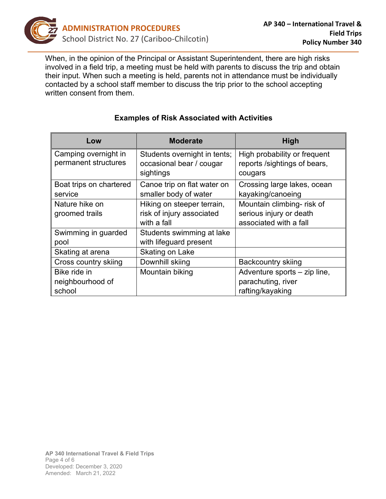

When, in the opinion of the Principal or Assistant Superintendent, there are high risks involved in a field trip, a meeting must be held with parents to discuss the trip and obtain their input. When such a meeting is held, parents not in attendance must be individually contacted by a school staff member to discuss the trip prior to the school accepting written consent from them.

| Low                     | <b>Moderate</b>              | <b>High</b>                  |
|-------------------------|------------------------------|------------------------------|
| Camping overnight in    | Students overnight in tents; | High probability or frequent |
| permanent structures    | occasional bear / cougar     | reports /sightings of bears, |
|                         | sightings                    | cougars                      |
| Boat trips on chartered | Canoe trip on flat water on  | Crossing large lakes, ocean  |
| service                 | smaller body of water        | kayaking/canoeing            |
| Nature hike on          | Hiking on steeper terrain,   | Mountain climbing- risk of   |
| groomed trails          | risk of injury associated    | serious injury or death      |
|                         | with a fall                  | associated with a fall       |
| Swimming in guarded     | Students swimming at lake    |                              |
| pool                    | with lifeguard present       |                              |
| Skating at arena        | Skating on Lake              |                              |
| Cross country skiing    | Downhill skiing              | Backcountry skiing           |
| Bike ride in            | Mountain biking              | Adventure sports - zip line, |
| neighbourhood of        |                              | parachuting, river           |
| school                  |                              | rafting/kayaking             |

# **Examples of Risk Associated with Activities**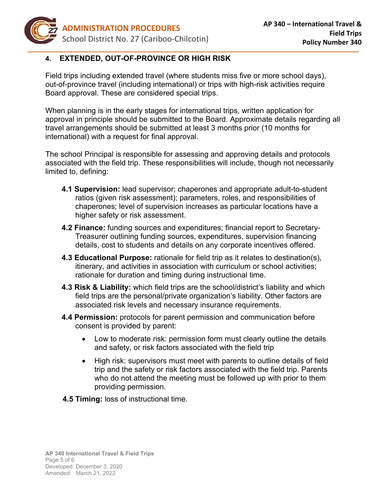

### **4. EXTENDED, OUT-OF-PROVINCE OR HIGH RISK**

Field trips including extended travel (where students miss five or more school days), out-of-province travel (including international) or trips with high-risk activities require Board approval. These are considered special trips.

When planning is in the early stages for international trips, written application for approval in principle should be submitted to the Board. Approximate details regarding all travel arrangements should be submitted at least 3 months prior (10 months for international) with a request for final approval.

The school Principal is responsible for assessing and approving details and protocols associated with the field trip. These responsibilities will include, though not necessarily limited to, defining:

- **4.1 Supervision:** lead supervisor; chaperones and appropriate adult-to-student ratios (given risk assessment); parameters, roles, and responsibilities of chaperones; level of supervision increases as particular locations have a higher safety or risk assessment.
- **4.2 Finance:** funding sources and expenditures; financial report to Secretary-Treasurer outlining funding sources, expenditures, supervision financing details, cost to students and details on any corporate incentives offered.
- **4.3 Educational Purpose:** rationale for field trip as it relates to destination(s), itinerary, and activities in association with curriculum or school activities; rationale for duration and timing during instructional time.
- **4.3 Risk & Liability:** which field trips are the school/district's liability and which field trips are the personal/private organization's liability. Other factors are associated risk levels and necessary insurance requirements.
- **4.4 Permission:** protocols for parent permission and communication before consent is provided by parent:
	- Low to moderate risk: permission form must clearly outline the details and safety, or risk factors associated with the field trip
	- High risk: supervisors must meet with parents to outline details of field trip and the safety or risk factors associated with the field trip. Parents who do not attend the meeting must be followed up with prior to them providing permission.
- **4.5 Timing:** loss of instructional time.